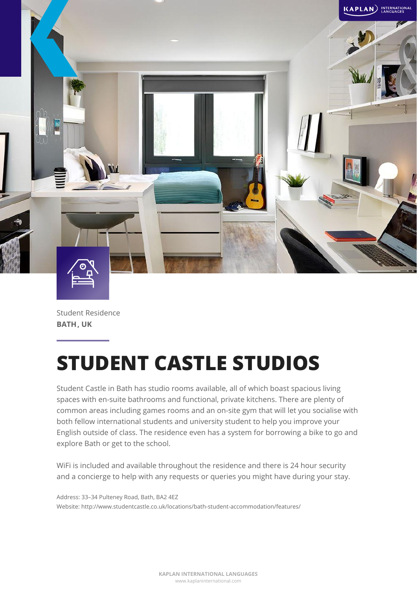

Student Residence **BATH , UK**

# **STUDENT CASTLE STUDIOS**

Student Castle in Bath has studio rooms available, all of which boast spacious living spaces with en-suite bathrooms and functional, private kitchens. There are plenty of common areas including games rooms and an on-site gym that will let you socialise with both fellow international students and university student to help you improve your English outside of class. The residence even has a system for borrowing a bike to go and explore Bath or get to the school.

WiFi is included and available throughout the residence and there is 24 hour security and a concierge to help with any requests or queries you might have during your stay.

Address: 33–34 Pulteney Road, Bath, BA2 4EZ Website: http://www.studentcastle.co.uk/locations/bath-student-accommodation/features/